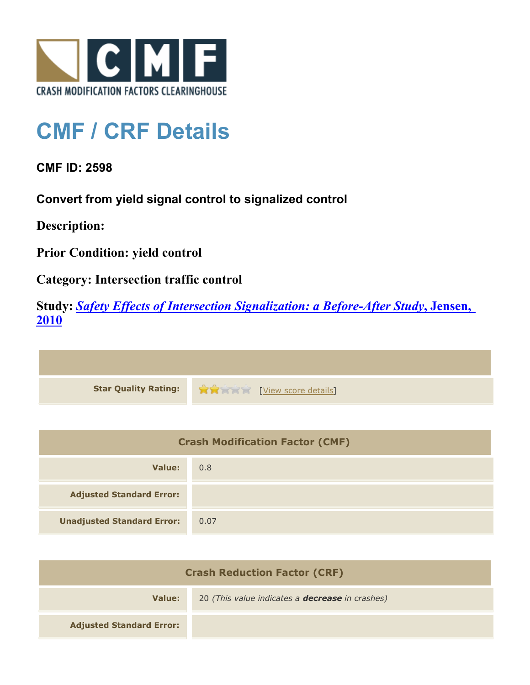

## **CMF / CRF Details**

**CMF ID: 2598**

**Convert from yield signal control to signalized control**

**Description:** 

**Prior Condition: yield control**

**Category: Intersection traffic control**

**Study:** *[Safety Effects of Intersection Signalization: a Before-After Study](http://www.cmfclearinghouse.org/study_detail.cfm?stid=170)***[, Jensen,](http://www.cmfclearinghouse.org/study_detail.cfm?stid=170) [2010](http://www.cmfclearinghouse.org/study_detail.cfm?stid=170)**



| <b>Crash Modification Factor (CMF)</b> |      |
|----------------------------------------|------|
| Value:                                 | 0.8  |
| <b>Adjusted Standard Error:</b>        |      |
| <b>Unadjusted Standard Error:</b>      | 0.07 |

| <b>Crash Reduction Factor (CRF)</b> |                                                        |
|-------------------------------------|--------------------------------------------------------|
| Value:                              | 20 (This value indicates a <b>decrease</b> in crashes) |
| <b>Adjusted Standard Error:</b>     |                                                        |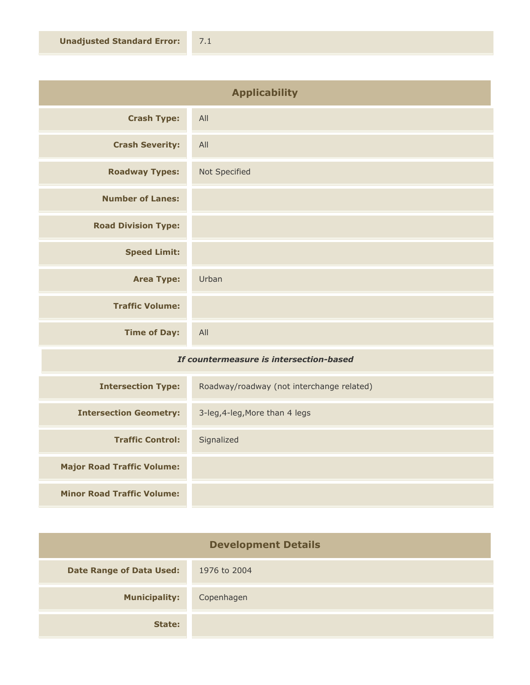| <b>Applicability</b>       |               |
|----------------------------|---------------|
| <b>Crash Type:</b>         | All           |
| <b>Crash Severity:</b>     | All           |
| <b>Roadway Types:</b>      | Not Specified |
| <b>Number of Lanes:</b>    |               |
| <b>Road Division Type:</b> |               |
| <b>Speed Limit:</b>        |               |
| <b>Area Type:</b>          | Urban         |
| <b>Traffic Volume:</b>     |               |
| <b>Time of Day:</b>        | All           |

## *If countermeasure is intersection-based*

| <b>Intersection Type:</b>         | Roadway/roadway (not interchange related) |
|-----------------------------------|-------------------------------------------|
| <b>Intersection Geometry:</b>     | 3-leg, 4-leg, More than 4 legs            |
| <b>Traffic Control:</b>           | Signalized                                |
| <b>Major Road Traffic Volume:</b> |                                           |
| <b>Minor Road Traffic Volume:</b> |                                           |

| <b>Development Details</b>      |              |
|---------------------------------|--------------|
| <b>Date Range of Data Used:</b> | 1976 to 2004 |
| <b>Municipality:</b>            | Copenhagen   |
| State:                          |              |